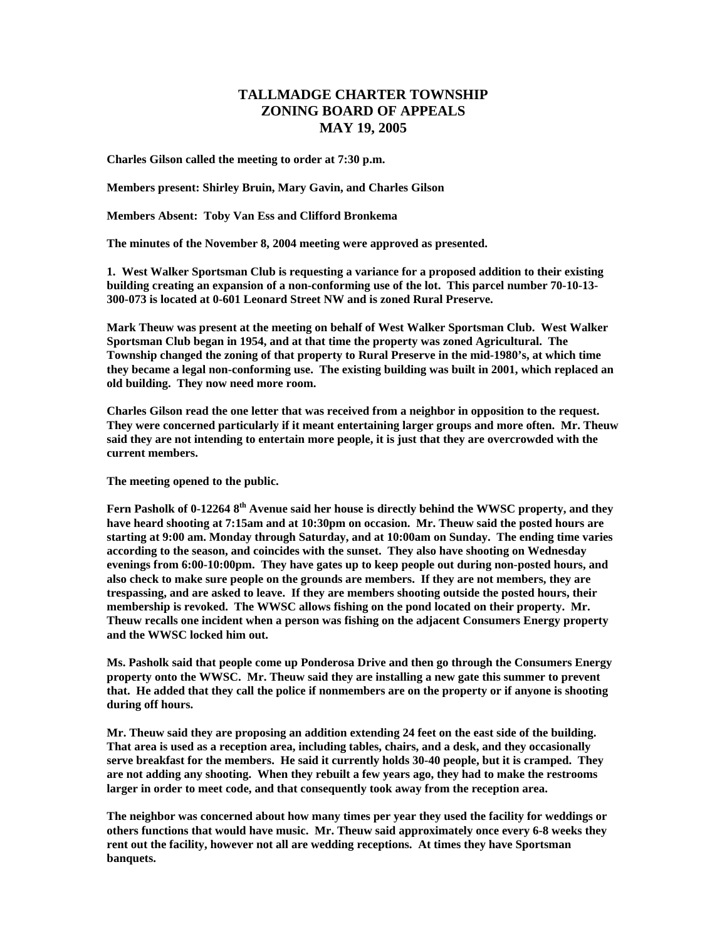## **TALLMADGE CHARTER TOWNSHIP ZONING BOARD OF APPEALS MAY 19, 2005**

**Charles Gilson called the meeting to order at 7:30 p.m.** 

**Members present: Shirley Bruin, Mary Gavin, and Charles Gilson** 

**Members Absent: Toby Van Ess and Clifford Bronkema** 

**The minutes of the November 8, 2004 meeting were approved as presented.** 

**1. West Walker Sportsman Club is requesting a variance for a proposed addition to their existing building creating an expansion of a non-conforming use of the lot. This parcel number 70-10-13- 300-073 is located at 0-601 Leonard Street NW and is zoned Rural Preserve.** 

**Mark Theuw was present at the meeting on behalf of West Walker Sportsman Club. West Walker Sportsman Club began in 1954, and at that time the property was zoned Agricultural. The Township changed the zoning of that property to Rural Preserve in the mid-1980's, at which time they became a legal non-conforming use. The existing building was built in 2001, which replaced an old building. They now need more room.** 

**Charles Gilson read the one letter that was received from a neighbor in opposition to the request. They were concerned particularly if it meant entertaining larger groups and more often. Mr. Theuw said they are not intending to entertain more people, it is just that they are overcrowded with the current members.** 

**The meeting opened to the public.** 

**Fern Pasholk of 0-12264 8th Avenue said her house is directly behind the WWSC property, and they have heard shooting at 7:15am and at 10:30pm on occasion. Mr. Theuw said the posted hours are starting at 9:00 am. Monday through Saturday, and at 10:00am on Sunday. The ending time varies according to the season, and coincides with the sunset. They also have shooting on Wednesday evenings from 6:00-10:00pm. They have gates up to keep people out during non-posted hours, and also check to make sure people on the grounds are members. If they are not members, they are trespassing, and are asked to leave. If they are members shooting outside the posted hours, their membership is revoked. The WWSC allows fishing on the pond located on their property. Mr. Theuw recalls one incident when a person was fishing on the adjacent Consumers Energy property and the WWSC locked him out.** 

**Ms. Pasholk said that people come up Ponderosa Drive and then go through the Consumers Energy property onto the WWSC. Mr. Theuw said they are installing a new gate this summer to prevent that. He added that they call the police if nonmembers are on the property or if anyone is shooting during off hours.** 

**Mr. Theuw said they are proposing an addition extending 24 feet on the east side of the building. That area is used as a reception area, including tables, chairs, and a desk, and they occasionally serve breakfast for the members. He said it currently holds 30-40 people, but it is cramped. They are not adding any shooting. When they rebuilt a few years ago, they had to make the restrooms larger in order to meet code, and that consequently took away from the reception area.** 

**The neighbor was concerned about how many times per year they used the facility for weddings or others functions that would have music. Mr. Theuw said approximately once every 6-8 weeks they rent out the facility, however not all are wedding receptions. At times they have Sportsman banquets.**